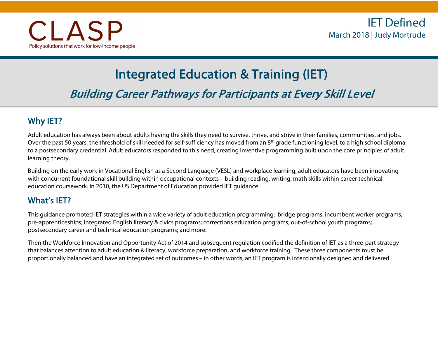# Integrated Education & Training (IET)

Building Career Pathways for Participants at Every Skill Level

# Why IET?

Adult education has always been about adults having the skills they need to survive, thrive, and strive in their families, communities, and jobs. Over the past 50 years, the threshold of skill needed for self-sufficiency has moved from an 8<sup>th</sup> grade functioning level, to a high school diploma, to a postsecondary credential. Adult educators responded to this need, creating inventive programming built upon the core principles of adult learning theory.

Building on the early work in Vocational English as a Second Language (VESL) and workplace learning, adult educators have been innovating with concurrent foundational skill building within occupational contexts – building reading, writing, math skills within career technical education coursework. In 2010, the US Department of Education provided IET guidance.

# What's IET?

This guidance promoted IET strategies within a wide variety of adult education programming: bridge programs; incumbent worker programs; pre-apprenticeships; integrated English literacy & civics programs; corrections education programs; out-of-school youth programs; postsecondary career and technical education programs; and more.

Then the Workforce Innovation and Opportunity Act of 2014 and subsequent regulation codified the definition of IET as a three-part strategy that balances attention to adult education & literacy, workforce preparation, and workforce training. These three components must be proportionally balanced and have an integrated set of outcomes – in other words, an IET program is intentionally designed and delivered.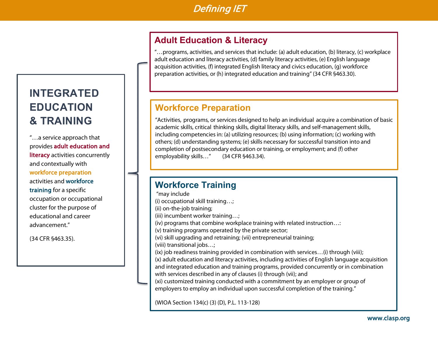# Defining IET

# **Adult Education & Literacy**

"…programs, activities, and services that include: (a) adult education, (b) literacy, (c) workplace adult education and literacy activities, (d) family literacy activities, (e) English language acquisition activities, (f) integrated English literacy and civics education, (g) workforce preparation activities, or (h) integrated education and training" (34 CFR §463.30).

# **Workforce Preparation**

"Activities, programs, or services designed to help an individual acquire a combination of basic academic skills, critical thinking skills, digital literacy skills, and self-management skills, including competencies in: (a) utilizing resources; (b) using information; (c) working with others; (d) understanding systems; (e) skills necessary for successful transition into and completion of postsecondary education or training, or employment; and (f) other employability skills..." (34 CFR §463.34).

# **Workforce Training**

"may include (i) occupational skill training…; (ii) on-the-job training; (iii) incumbent worker training…; (iv) programs that combine workplace training with related instruction…: (v) training programs operated by the private sector; (vi) skill upgrading and retraining; (vii) entrepreneurial training; (viii) transitional jobs…; (ix) job readiness training provided in combination with services…(i) through (viii); (x) adult education and literacy activities, including activities of English language acquisition and integrated education and training programs, provided concurrently or in combination with services described in any of clauses (i) through (vii); and (xi) customized training conducted with a commitment by an employer or group of employers to employ an individual upon successful completion of the training."

(WIOA Section 134(c) (3) (D), P.L. 113-128)

# **INTEGRATED EDUCATION & TRAINING**

advancement." "…a service approach that provides adult education and literacy activities concurrently and contextually with workforce preparation activities and workforce training for a specific occupation or occupational cluster for the purpose of educational and career

(34 CFR §463.35).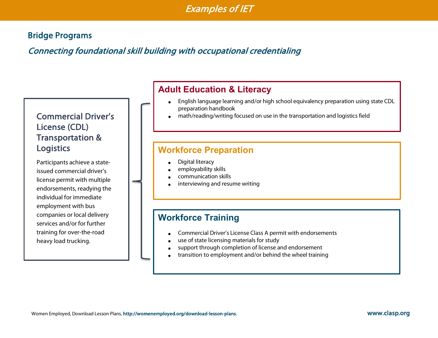# Bridge Programs

# Connecting foundational skill building with occupational credentialing

# Commercial Driver's License (CDL) Transportation & **Logistics**

Participants achieve a stateissued commercial driver's license permit with multiple endorsements, readying the individual for immediate employment with bus companies or local delivery services and/or for further training for over-the-road heavy load trucking.

#### $\overline{\phantom{0}}$ **Adult Education & Literacy**

- English language learning and/or high school equivalency preparation using state CDL preparation handbook
- math/reading/writing focused on use in the transportation and logistics field

### **Workforce Preparation**

- Digital literacy
- employability skills
- communication skills
- interviewing and resume writing

- Commercial Driver's License Class A permit with endorsements
- use of state licensing materials for study
- support through completion of license and endorsement
- transition to employment and/or behind the wheel training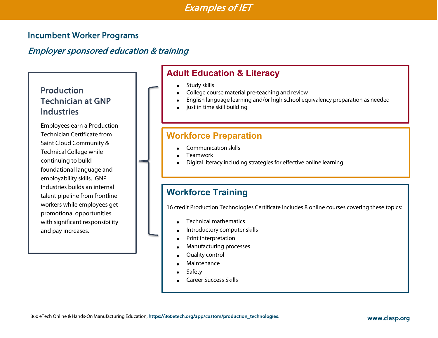## Incumbent Worker Programs

# Employer sponsored education & training

# Production Technician at GNP **Industries**

I

I

Employees earn a Production Technician Certificate from Saint Cloud Community & Technical College while continuing to build foundational language and employability skills. GNP Industries builds an internal talent pipeline from frontline workers while employees get promotional opportunities with significant responsibility and pay increases.

# **Adult Education & Literacy**

- Study skills
- College course material pre-teaching and review
- English language learning and/or high school equivalency preparation as needed
- just in time skill building

#### **Workforce Preparation**

- Communication skills
- Teamwork
- Digital literacy including strategies for effective online learning

# **Workforce Training**

16 credit Production Technologies Certificate includes 8 online courses covering these topics:

- Technical mathematics
- Introductory computer skills
- Print interpretation
- Manufacturing processes
- Quality control
- **Maintenance**
- **Safety**
- Career Success Skills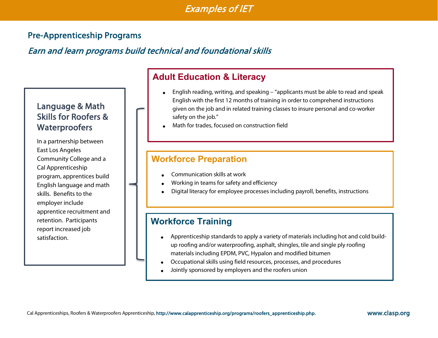# Pre-Apprenticeship Programs

# Earn and learn programs build technical and foundational skills

# Language & Math Skills for Roofers & **Waterproofers**

In a partnership between East Los Angeles Community College and a Cal Apprenticeship program, apprentices build English language and math skills. Benefits to the employer include apprentice recruitment and retention. Participants report increased job satisfaction.

#### $\overline{\phantom{a}}$ **Adult Education & Literacy**

- English reading, writing, and speaking "applicants must be able to read and speak English with the first 12 months of training in order to comprehend instructions given on the job and in related training classes to insure personal and co-worker safety on the job."
- Math for trades, focused on construction field

# **Workforce Preparation**

- Communication skills at work
- Working in teams for safety and efficiency
- Digital literacy for employee processes including payroll, benefits, instructions

# **Workforce Training**

- Apprenticeship standards to apply a variety of materials including hot and cold buildup roofing and/or waterproofing, asphalt, shingles, tile and single ply roofing materials including EPDM, PVC, Hypalon and modified bitumen
- Occupational skills using field resources, processes, and procedures
- Jointly sponsored by employers and the roofers union

www.clasp.org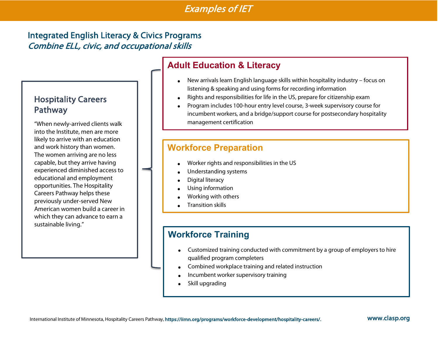# Integrated English Literacy & Civics Programs Combine ELL, civic, and occupational skills

## Hospitality Careers Pathway

"When newly-arrived clients walk into the Institute, men are more likely to arrive with an education and work history than women. The women arriving are no less capable, but they arrive having experienced diminished access to educational and employment opportunities. The Hospitality Careers Pathway helps these previously under-served New American women build a career in which they can advance to earn a sustainable living."

# **Adult Education & Literacy**

- New arrivals learn English language skills within hospitality industry focus on listening & speaking and using forms for recording information
- Rights and responsibilities for life in the US, prepare for citizenship exam
- Program includes 100-hour entry level course, 3-week supervisory course for incumbent workers, and a bridge/support course for postsecondary hospitality management certification

# **Workforce Preparation**

- Worker rights and responsibilities in the US
- Understanding systems
- Digital literacy
- Using information
- Working with others
- Transition skills

# **Workforce Training**

- Customized training conducted with commitment by a group of employers to hire qualified program completers
- Combined workplace training and related instruction
- Incumbent worker supervisory training
- Skill upgrading

#### www.clasp.org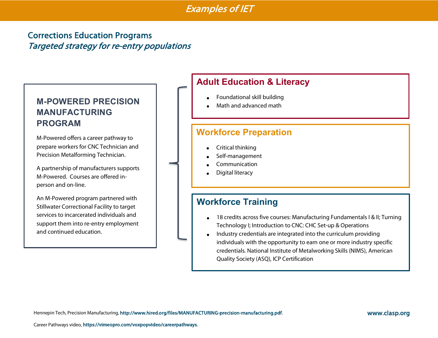# Corrections Education Programs Targeted strategy for re-entry populations

# **M-POWERED PRECISION MANUFACTURING PROGRAM**

M-Powered offers a career pathway to prepare workers for CNC Technician and Precision Metalforming Technician.

A partnership of manufacturers supports M-Powered. Courses are offered inperson and on-line.

An M-Powered program partnered with Stillwater Correctional Facility to target services to incarcerated individuals and support them into re-entry employment and continued education.

# **Adult Education & Literacy**

- Foundational skill building
- Math and advanced math

### **Workforce Preparation**

- Critical thinking
- Self-management
- Communication
- Digital literacy

- 18 credits across five courses: Manufacturing Fundamentals I & II; Turning Technology I; Introduction to CNC: CHC Set-up & Operations
- Industry credentials are integrated into the curriculum providing individuals with the opportunity to earn one or more industry specific credentials. National Institute of Metalworking Skills (NIMS), American Quality Society (ASQ), ICP Certification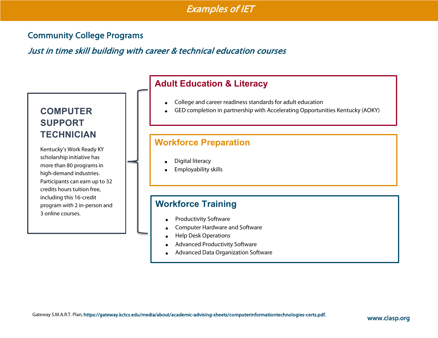## Community College Programs

Just in time skill building with career & technical education courses

# **COMPUTER SUPPORT TECHNICIAN**

Kentucky's Work Ready KY scholarship initiative has more than 80 programs in high-demand industries. Participants can earn up to 32 credits hours tuition free, including this 16-credit program with 2 in-person and 3 online courses.

I

# **Adult Education & Literacy**

- College and career readiness standards for adult education
- GED completion in partnership with Accelerating Opportunities Kentucky (AOKY)

### **Workforce Preparation**

- Digital literacy
- Employability skills

- Productivity Software
- Computer Hardware and Software
- Help Desk Operations
- Advanced Productivity Software
- Advanced Data Organization Software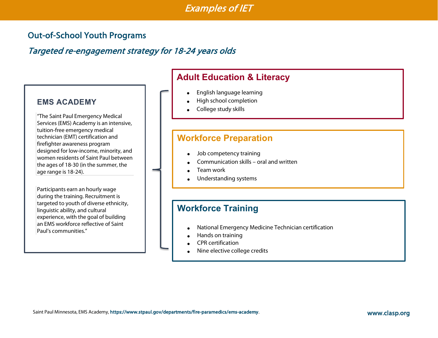# Out-of-School Youth Programs

# Targeted re-engagement strategy for 18-24 years olds

#### **EMS ACADEMY**

"The Saint Paul Emergency Medical Services (EMS) Academy is an intensive, tuition-free emergency medical technician (EMT) certification and firefighter awareness program designed for low-income, minority, and women residents of Saint Paul between the ages of 18-30 (in the summer, the age range is 18-24).

Participants earn an hourly wage during the training. Recruitment is targeted to youth of diverse ethnicity, linguistic ability, and cultural experience, with the goal of building an EMS workforce reflective of Saint Paul's communities."

#### $\overline{\phantom{a}}$ **Adult Education & Literacy**

- English language learning
- High school completion
- College study skills

#### **Workforce Preparation**

- Job competency training
- Communication skills oral and written
- Team work
- Understanding systems

- National Emergency Medicine Technician certification
- Hands on training
- CPR certification
- Nine elective college credits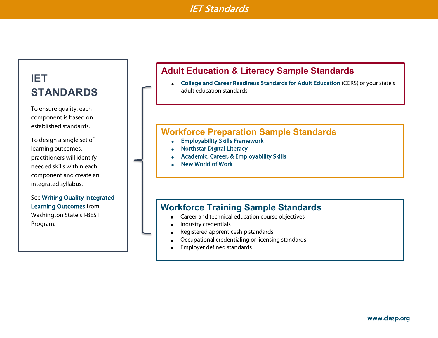# IET Standards

# **IET STANDARDS**

To ensure quality, each component is based on established standards.

To design a single set of learning outcomes, practitioners will identify needed skills within each component and create an integrated syllabus.

See Writing Quality Integrated Learning Outcomes from Washington State's I-BEST Program.

# **Adult Education & Literacy Sample Standards**

• College and Career Readiness Standards for Adult Education (CCRS) or your state's adult education standards

#### **Workforce Preparation Sample Standards**

- Employability Skills Framework
- Northstar Digital Literacy
- Academic, Career, & Employability Skills
- New World of Work

#### **Workforce Training Sample Standards**

- Career and technical education course objectives
- Industry credentials
- Registered apprenticeship standards
- Occupational credentialing or licensing standards
- Employer defined standards

10<br>10 March 10<br>10 March 10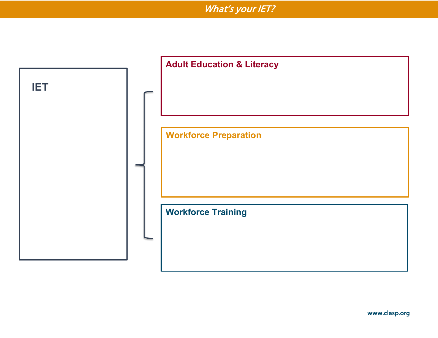What's your IET?

|            | <b>Adult Education &amp; Literacy</b> |
|------------|---------------------------------------|
| <b>IET</b> |                                       |
|            | <b>Workforce Preparation</b>          |
|            |                                       |
|            |                                       |
|            | <b>Workforce Training</b>             |
|            |                                       |
|            |                                       |

www.clasp.org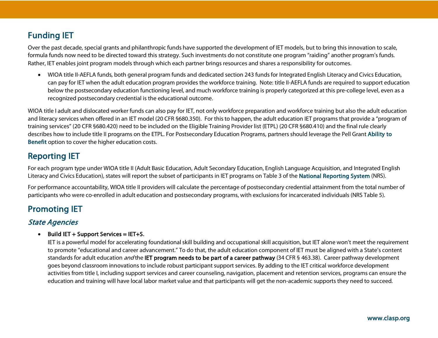# Funding IET

Over the past decade, special grants and philanthropic funds have supported the development of IET models, but to bring this innovation to scale, formula funds now need to be directed toward this strategy. Such investments do not constitute one program "raiding" another program's funds. Rather, IET enables joint program models through which each partner brings resources and shares a responsibility for outcomes.

• WIOA title II-AEFLA funds, both general program funds and dedicated section 243 funds for Integrated English Literacy and Civics Education, can pay for IET when the adult education program provides the workforce training. Note: title II-AEFLA funds are required to support education below the postsecondary education functioning level, and much workforce training is properly categorized at this pre-college level, even as a recognized postsecondary credential is the educational outcome.

WIOA title I adult and dislocated worker funds can also pay for IET, not only workforce preparation and workforce training but also the adult education and literacy services when offered in an IET model (20 CFR §680.350). For this to happen, the adult education IET programs that provide a "program of training services" (20 CFR §680.420) need to be included on the Eligible Training Provider list (ETPL) (20 CFR §680.410) and the final rule clearly describes how to include title II programs on the ETPL. For Postsecondary Education Programs, partners should leverage the Pell Grant Ability to Benefit option to cover the higher education costs.

# Reporting IET

For each program type under WIOA title II (Adult Basic Education, Adult Secondary Education, English Language Acquisition, and Integrated English Literacy and Civics Education), states will report the subset of participants in IET programs on Table 3 of the National Reporting System (NRS).

For performance accountability, WIOA title II providers will calculate the percentage of postsecondary credential attainment from the total number of participants who were co-enrolled in adult education and postsecondary programs, with exclusions for incarcerated individuals (NRS Table 5).

# Promoting IET

#### State Agencies

 $\bullet$  Build IET + Support Services = IET+S.

IET is a powerful model for accelerating foundational skill building and occupational skill acquisition, but IET alone won't meet the requirement to promote "educational and career advancement." To do that, the adult education component of IET must be aligned with a State's content standards for adult education *and* the **IET program needs to be part of a career pathway** (34 CFR § 463.38). Career pathway development goes beyond classroom innovations to include robust participant support services. By adding to the IET critical workforce development activities from title I, including support services and career counseling, navigation, placement and retention services, programs can ensure the education and training will have local labor market value and that participants will get the non-academic supports they need to succeed.

12<br>12 March 12<br>12 March 12 March 12 March 12 March 12 March 12 March 12 March 12 March 12 March 12 March 12 March 12 March 1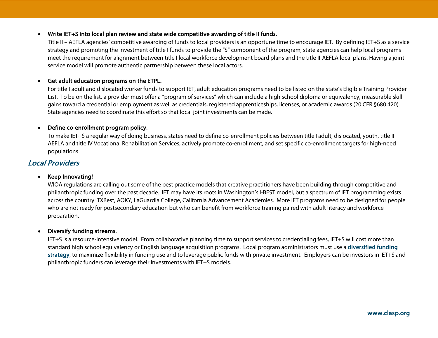#### • Write IET+S into local plan review and state wide competitive awarding of title II funds.

Title II – AEFLA agencies' competitive awarding of funds to local providers is an opportune time to encourage IET. By defining IET+S as a service strategy and promoting the investment of title I funds to provide the "S" component of the program, state agencies can help local programs meet the requirement for alignment between title I local workforce development board plans and the title II-AEFLA local plans. Having a joint service model will promote authentic partnership between these local actors.

#### • Get adult education programs on the ETPL.

For title I adult and dislocated worker funds to support IET, adult education programs need to be listed on the state's Eligible Training Provider List. To be on the list, a provider must offer a "program of services" which can include a high school diploma or equivalency, measurable skill gains toward a credential or employment as well as credentials, registered apprenticeships, licenses, or academic awards (20 CFR §680.420). State agencies need to coordinate this effort so that local joint investments can be made.

#### • Define co-enrollment program policy.

To make IET+S a regular way of doing business, states need to define co-enrollment policies between title I adult, dislocated, youth, title II AEFLA and title IV Vocational Rehabilitation Services, actively promote co-enrollment, and set specific co-enrollment targets for high-need populations.

#### Local Providers

#### • Keep Innovating!

WIOA regulations are calling out some of the best practice models that creative practitioners have been building through competitive and philanthropic funding over the past decade. IET may have its roots in Washington's I-BEST model, but a spectrum of IET programming exists across the country: TXBest, AOKY, LaGuardia College, California Advancement Academies. More IET programs need to be designed for people who are not ready for postsecondary education but who can benefit from workforce training paired with adult literacy and workforce preparation.

#### • Diversify funding streams.

IET+S is a resource-intensive model. From collaborative planning time to support services to credentialing fees, IET+S will cost more than standard high school equivalency or English language acquisition programs. Local program administrators must use a diversified funding strategy, to maximize flexibility in funding use and to leverage public funds with private investment. Employers can be investors in IET+S and philanthropic funders can leverage their investments with IET+S models.